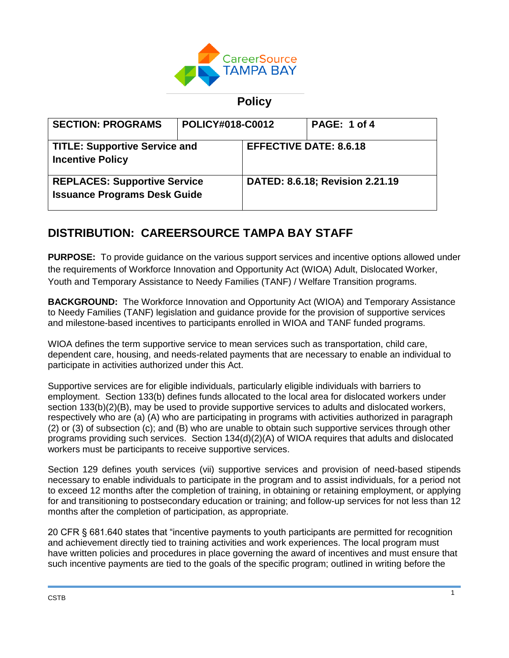

## **Policy**

| <b>SECTION: PROGRAMS</b>                                                   | <b>POLICY#018-C0012</b> |                                 | PAGE: 1 of 4 |
|----------------------------------------------------------------------------|-------------------------|---------------------------------|--------------|
| <b>TITLE: Supportive Service and</b><br><b>Incentive Policy</b>            |                         | <b>EFFECTIVE DATE: 8.6.18</b>   |              |
| <b>REPLACES: Supportive Service</b><br><b>Issuance Programs Desk Guide</b> |                         | DATED: 8.6.18; Revision 2.21.19 |              |

# **DISTRIBUTION: CAREERSOURCE TAMPA BAY STAFF**

**PURPOSE:** To provide guidance on the various support services and incentive options allowed under the requirements of Workforce Innovation and Opportunity Act (WIOA) Adult, Dislocated Worker, Youth and Temporary Assistance to Needy Families (TANF) / Welfare Transition programs.

**BACKGROUND:** The Workforce Innovation and Opportunity Act (WIOA) and Temporary Assistance to Needy Families (TANF) legislation and guidance provide for the provision of supportive services and milestone-based incentives to participants enrolled in WIOA and TANF funded programs.

WIOA defines the term supportive service to mean services such as transportation, child care, dependent care, housing, and needs-related payments that are necessary to enable an individual to participate in activities authorized under this Act.

Supportive services are for eligible individuals, particularly eligible individuals with barriers to employment. Section 133(b) defines funds allocated to the local area for dislocated workers under section 133(b)(2)(B), may be used to provide supportive services to adults and dislocated workers, respectively who are (a) (A) who are participating in programs with activities authorized in paragraph (2) or (3) of subsection (c); and (B) who are unable to obtain such supportive services through other programs providing such services. Section 134(d)(2)(A) of WIOA requires that adults and dislocated workers must be participants to receive supportive services.

Section 129 defines youth services (vii) supportive services and provision of need-based stipends necessary to enable individuals to participate in the program and to assist individuals, for a period not to exceed 12 months after the completion of training, in obtaining or retaining employment, or applying for and transitioning to postsecondary education or training; and follow-up services for not less than 12 months after the completion of participation, as appropriate.

20 CFR § 681.640 states that "incentive payments to youth participants are permitted for recognition and achievement directly tied to training activities and work experiences. The local program must have written policies and procedures in place governing the award of incentives and must ensure that such incentive payments are tied to the goals of the specific program; outlined in writing before the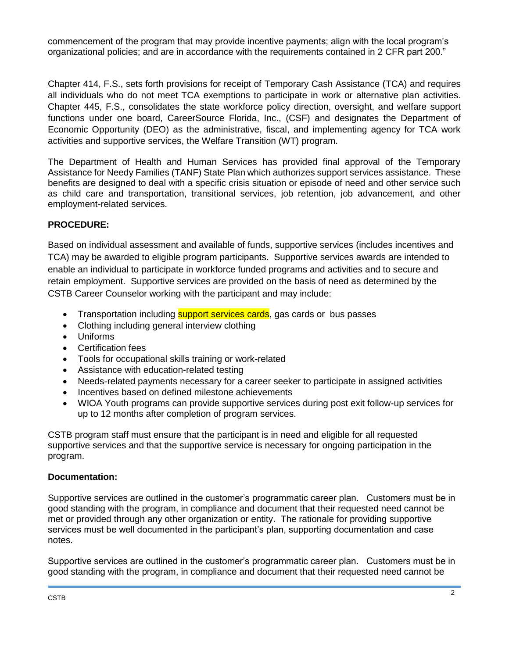commencement of the program that may provide incentive payments; align with the local program's organizational policies; and are in accordance with the requirements contained in 2 CFR part 200."

Chapter 414, F.S., sets forth provisions for receipt of Temporary Cash Assistance (TCA) and requires all individuals who do not meet TCA exemptions to participate in work or alternative plan activities. Chapter 445, F.S., consolidates the state workforce policy direction, oversight, and welfare support functions under one board, CareerSource Florida, Inc., (CSF) and designates the Department of Economic Opportunity (DEO) as the administrative, fiscal, and implementing agency for TCA work activities and supportive services, the Welfare Transition (WT) program.

The Department of Health and Human Services has provided final approval of the Temporary Assistance for Needy Families (TANF) State Plan which authorizes support services assistance. These benefits are designed to deal with a specific crisis situation or episode of need and other service such as child care and transportation, transitional services, job retention, job advancement, and other employment-related services.

### **PROCEDURE:**

Based on individual assessment and available of funds, supportive services (includes incentives and TCA) may be awarded to eligible program participants. Supportive services awards are intended to enable an individual to participate in workforce funded programs and activities and to secure and retain employment. Supportive services are provided on the basis of need as determined by the CSTB Career Counselor working with the participant and may include:

- Transportation including **support services cards**, gas cards or bus passes
- Clothing including general interview clothing
- Uniforms
- Certification fees
- Tools for occupational skills training or work-related
- Assistance with education-related testing
- Needs-related payments necessary for a career seeker to participate in assigned activities
- Incentives based on defined milestone achievements
- WIOA Youth programs can provide supportive services during post exit follow-up services for up to 12 months after completion of program services.

CSTB program staff must ensure that the participant is in need and eligible for all requested supportive services and that the supportive service is necessary for ongoing participation in the program.

#### **Documentation:**

Supportive services are outlined in the customer's programmatic career plan. Customers must be in good standing with the program, in compliance and document that their requested need cannot be met or provided through any other organization or entity. The rationale for providing supportive services must be well documented in the participant's plan, supporting documentation and case notes.

Supportive services are outlined in the customer's programmatic career plan. Customers must be in good standing with the program, in compliance and document that their requested need cannot be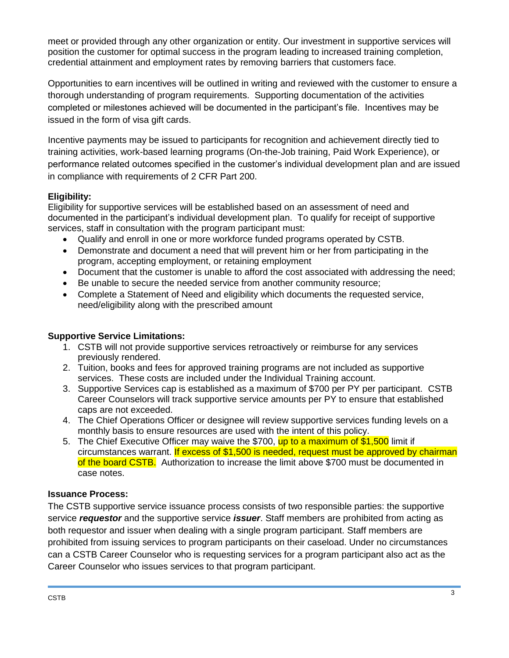meet or provided through any other organization or entity. Our investment in supportive services will position the customer for optimal success in the program leading to increased training completion, credential attainment and employment rates by removing barriers that customers face.

Opportunities to earn incentives will be outlined in writing and reviewed with the customer to ensure a thorough understanding of program requirements. Supporting documentation of the activities completed or milestones achieved will be documented in the participant's file. Incentives may be issued in the form of visa gift cards.

Incentive payments may be issued to participants for recognition and achievement directly tied to training activities, work-based learning programs (On-the-Job training, Paid Work Experience), or performance related outcomes specified in the customer's individual development plan and are issued in compliance with requirements of 2 CFR Part 200.

## **Eligibility:**

Eligibility for supportive services will be established based on an assessment of need and documented in the participant's individual development plan. To qualify for receipt of supportive services, staff in consultation with the program participant must:

- Qualify and enroll in one or more workforce funded programs operated by CSTB.
- Demonstrate and document a need that will prevent him or her from participating in the program, accepting employment, or retaining employment
- Document that the customer is unable to afford the cost associated with addressing the need;
- Be unable to secure the needed service from another community resource;
- Complete a Statement of Need and eligibility which documents the requested service, need/eligibility along with the prescribed amount

## **Supportive Service Limitations:**

- 1. CSTB will not provide supportive services retroactively or reimburse for any services previously rendered.
- 2. Tuition, books and fees for approved training programs are not included as supportive services. These costs are included under the Individual Training account.
- 3. Supportive Services cap is established as a maximum of \$700 per PY per participant. CSTB Career Counselors will track supportive service amounts per PY to ensure that established caps are not exceeded.
- 4. The Chief Operations Officer or designee will review supportive services funding levels on a monthly basis to ensure resources are used with the intent of this policy.
- 5. The Chief Executive Officer may waive the \$700, up to a maximum of \$1,500 limit if circumstances warrant. If excess of \$1,500 is needed, request must be approved by chairman of the board CSTB. Authorization to increase the limit above \$700 must be documented in case notes.

## **Issuance Process:**

The CSTB supportive service issuance process consists of two responsible parties: the supportive service *requestor* and the supportive service *issuer*. Staff members are prohibited from acting as both requestor and issuer when dealing with a single program participant. Staff members are prohibited from issuing services to program participants on their caseload. Under no circumstances can a CSTB Career Counselor who is requesting services for a program participant also act as the Career Counselor who issues services to that program participant.